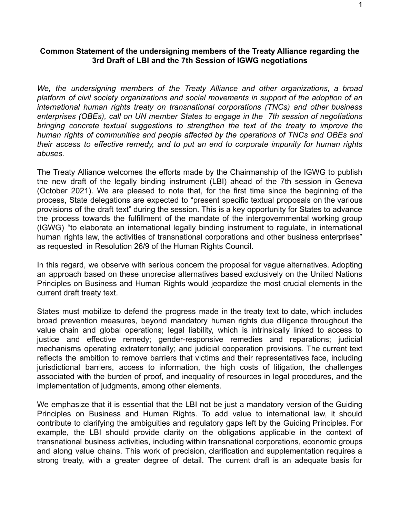## **Common Statement of the undersigning members of the Treaty Alliance regarding the 3rd Draft of LBI and the 7th Session of IGWG negotiations**

*We, the undersigning members of the Treaty Alliance and other organizations, a broad platform of civil society organizations and social movements in support of the adoption of an international human rights treaty on transnational corporations (TNCs) and other business enterprises (OBEs), call on UN member States to engage in the 7th session of negotiations bringing concrete textual suggestions to strengthen the text of the treaty to improve the human rights of communities and people affected by the operations of TNCs and OBEs and their access to effective remedy, and to put an end to corporate impunity for human rights abuses.*

The Treaty Alliance welcomes the efforts made by the Chairmanship of the IGWG to publish the new draft of the legally binding instrument (LBI) ahead of the 7th session in Geneva (October 2021). We are pleased to note that, for the first time since the beginning of the process, State delegations are expected to "present specific textual proposals on the various provisions of the draft text" during the session. This is a key opportunity for States to advance the process towards the fulfillment of the mandate of the intergovernmental working group (IGWG) "to elaborate an international legally binding instrument to regulate, in international human rights law, the activities of transnational corporations and other business enterprises" as requested in Resolution 26/9 of the Human Rights Council.

In this regard, we observe with serious concern the proposal for vague alternatives. Adopting an approach based on these unprecise alternatives based exclusively on the United Nations Principles on Business and Human Rights would jeopardize the most crucial elements in the current draft treaty text.

States must mobilize to defend the progress made in the treaty text to date, which includes broad prevention measures, beyond mandatory human rights due diligence throughout the value chain and global operations; legal liability, which is intrinsically linked to access to justice and effective remedy; gender-responsive remedies and reparations; judicial mechanisms operating extraterritorially; and judicial cooperation provisions. The current text reflects the ambition to remove barriers that victims and their representatives face, including jurisdictional barriers, access to information, the high costs of litigation, the challenges associated with the burden of proof, and inequality of resources in legal procedures, and the implementation of judgments, among other elements.

We emphasize that it is essential that the LBI not be just a mandatory version of the Guiding Principles on Business and Human Rights. To add value to international law, it should contribute to clarifying the ambiguities and regulatory gaps left by the Guiding Principles. For example, the LBI should provide clarity on the obligations applicable in the context of transnational business activities, including within transnational corporations, economic groups and along value chains. This work of precision, clarification and supplementation requires a strong treaty, with a greater degree of detail. The current draft is an adequate basis for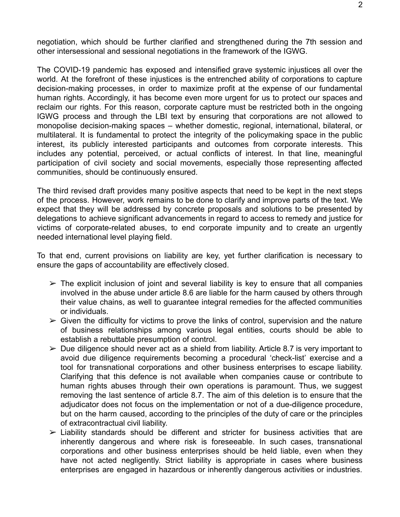negotiation, which should be further clarified and strengthened during the 7th session and other intersessional and sessional negotiations in the framework of the IGWG.

The COVID-19 pandemic has exposed and intensified grave systemic injustices all over the world. At the forefront of these injustices is the entrenched ability of corporations to capture decision-making processes, in order to maximize profit at the expense of our fundamental human rights. Accordingly, it has become even more urgent for us to protect our spaces and reclaim our rights. For this reason, corporate capture must be restricted both in the ongoing IGWG process and through the LBI text by ensuring that corporations are not allowed to monopolise decision-making spaces – whether domestic, regional, international, bilateral, or multilateral. It is fundamental to protect the integrity of the policymaking space in the public interest, its publicly interested participants and outcomes from corporate interests. This includes any potential, perceived, or actual conflicts of interest. In that line, meaningful participation of civil society and social movements, especially those representing affected communities, should be continuously ensured.

The third revised draft provides many positive aspects that need to be kept in the next steps of the process. However, work remains to be done to clarify and improve parts of the text. We expect that they will be addressed by concrete proposals and solutions to be presented by delegations to achieve significant advancements in regard to access to remedy and justice for victims of corporate-related abuses, to end corporate impunity and to create an urgently needed international level playing field.

To that end, current provisions on liability are key, yet further clarification is necessary to ensure the gaps of accountability are effectively closed.

- $\triangleright$  The explicit inclusion of joint and several liability is key to ensure that all companies involved in the abuse under article 8.6 are liable for the harm caused by others through their value chains, as well to guarantee integral remedies for the affected communities or individuals.
- $\triangleright$  Given the difficulty for victims to prove the links of control, supervision and the nature of business relationships among various legal entities, courts should be able to establish a rebuttable presumption of control.
- $\triangleright$  Due diligence should never act as a shield from liability. Article 8.7 is very important to avoid due diligence requirements becoming a procedural 'check-list' exercise and a tool for transnational corporations and other business enterprises to escape liability. Clarifying that this defence is not available when companies cause or contribute to human rights abuses through their own operations is paramount. Thus, we suggest removing the last sentence of article 8.7. The aim of this deletion is to ensure that the adjudicator does not focus on the implementation or not of a due-diligence procedure, but on the harm caused, according to the principles of the duty of care or the principles of extracontractual civil liability.
- $\triangleright$  Liability standards should be different and stricter for business activities that are inherently dangerous and where risk is foreseeable. In such cases, transnational corporations and other business enterprises should be held liable, even when they have not acted negligently. Strict liability is appropriate in cases where business enterprises are engaged in hazardous or inherently dangerous activities or industries.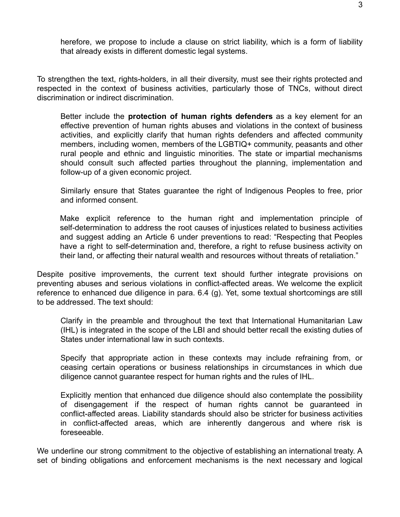herefore, we propose to include a clause on strict liability, which is a form of liability that already exists in different domestic legal systems.

To strengthen the text, rights-holders, in all their diversity, must see their rights protected and respected in the context of business activities, particularly those of TNCs, without direct discrimination or indirect discrimination.

Better include the **protection of human rights defenders** as a key element for an effective prevention of human rights abuses and violations in the context of business activities, and explicitly clarify that human rights defenders and affected community members, including women, members of the LGBTIQ+ community, peasants and other rural people and ethnic and linguistic minorities. The state or impartial mechanisms should consult such affected parties throughout the planning, implementation and follow-up of a given economic project.

Similarly ensure that States guarantee the right of Indigenous Peoples to free, prior and informed consent.

Make explicit reference to the human right and implementation principle of self-determination to address the root causes of injustices related to business activities and suggest adding an Article 6 under preventions to read: "Respecting that Peoples have a right to self-determination and, therefore, a right to refuse business activity on their land, or affecting their natural wealth and resources without threats of retaliation."

Despite positive improvements, the current text should further integrate provisions on preventing abuses and serious violations in conflict-affected areas. We welcome the explicit reference to enhanced due diligence in para. 6.4 (g). Yet, some textual shortcomings are still to be addressed. The text should:

Clarify in the preamble and throughout the text that International Humanitarian Law (IHL) is integrated in the scope of the LBI and should better recall the existing duties of States under international law in such contexts.

Specify that appropriate action in these contexts may include refraining from, or ceasing certain operations or business relationships in circumstances in which due diligence cannot guarantee respect for human rights and the rules of IHL.

Explicitly mention that enhanced due diligence should also contemplate the possibility of disengagement if the respect of human rights cannot be guaranteed in conflict-affected areas. Liability standards should also be stricter for business activities in conflict-affected areas, which are inherently dangerous and where risk is foreseeable.

We underline our strong commitment to the objective of establishing an international treaty. A set of binding obligations and enforcement mechanisms is the next necessary and logical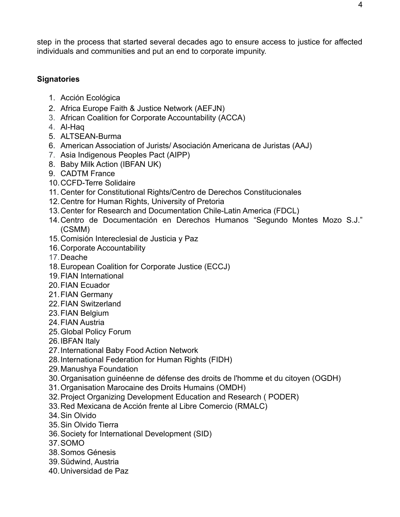step in the process that started several decades ago to ensure access to justice for affected individuals and communities and put an end to corporate impunity.

## **Signatories**

- 1. Acción Ecológica
- 2. Africa Europe Faith & Justice Network (AEFJN)
- 3. African Coalition for Corporate Accountability (ACCA)
- 4. Al-Haq
- 5. ALTSEAN-Burma
- 6. American Association of Jurists/ Asociación Americana de Juristas (AAJ)
- 7. Asia Indigenous Peoples Pact (AIPP)
- 8. Baby Milk Action (IBFAN UK)
- 9. CADTM France
- 10.CCFD-Terre Solidaire
- 11. Center for Constitutional Rights/Centro de Derechos Constitucionales
- 12.Centre for Human Rights, University of Pretoria
- 13.Center for Research and Documentation Chile-Latin America (FDCL)
- 14.Centro de Documentación en Derechos Humanos "Segundo Montes Mozo S.J." (CSMM)
- 15.Comisión Intereclesial de Justicia y Paz
- 16.Corporate Accountability
- 17.Deache
- 18.European Coalition for Corporate Justice (ECCJ)
- 19.FIAN International
- 20.FIAN Ecuador
- 21.FIAN Germany
- 22.FIAN Switzerland
- 23.FIAN Belgium
- 24.FIAN Austria
- 25.Global Policy Forum
- 26.IBFAN Italy
- 27.International Baby Food Action Network
- 28.International Federation for Human Rights (FIDH)
- 29.Manushya Foundation
- 30.Organisation guinéenne de défense des droits de l'homme et du citoyen (OGDH)
- 31.Organisation Marocaine des Droits Humains (OMDH)
- 32.Project Organizing Development Education and Research ( PODER)
- 33.Red Mexicana de Acción frente al Libre Comercio (RMALC)
- 34.Sin Olvido
- 35.Sin Olvido Tierra
- 36.Society for International Development (SID)
- 37.SOMO
- 38.Somos Génesis
- 39.Südwind, Austria
- 40.Universidad de Paz